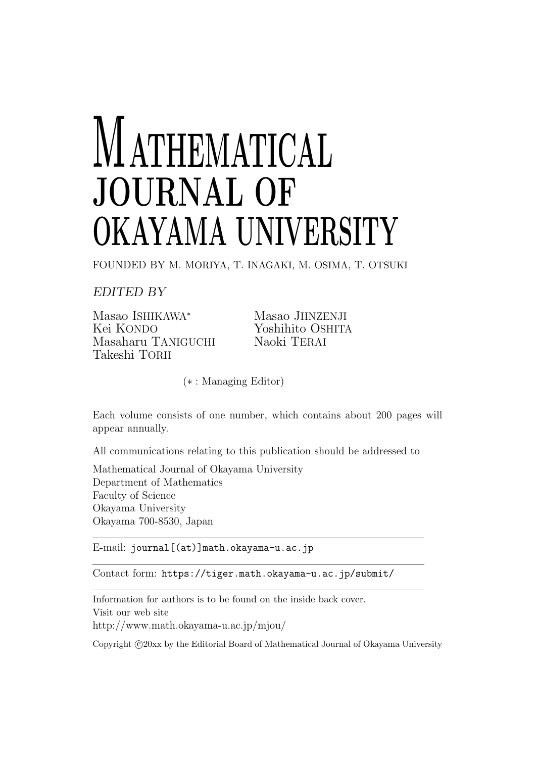# **MATHEMATICAL JOURNAL OF OKAYAMA UNIVERSITY**

FOUNDED BY M. MORIYA, T. INAGAKI, M. OSIMA, T. OTSUKI

*EDITED BY*

Masao ISHIKAWA<sup>∗</sup> Masao JIINZENJI<br>Kei KONDO Masao Yoshihito OSHIT Masaharu TANIGUCHI Naoki TERAI Takeshi TORII

Yoshihito OSHITA

(*∗* : Managing Editor)

Each volume consists of one number, which contains about 200 pages will appear annually.

All communications relating to this publication should be addressed to

Mathematical Journal of Okayama University Department of Mathematics Faculty of Science Okayama University Okayama 700-8530, Japan

E-mail: journal[(at)]math.okayama-u.ac.jp

Contact form: https://tiger.math.okayama-u.ac.jp/submit/

Information for authors is to be found on the inside back cover. Visit our web site http://www.math.okayama-u.ac.jp/mjou/

Copyright  $\odot$  20xx by the Editorial Board of Mathematical Journal of Okayama University